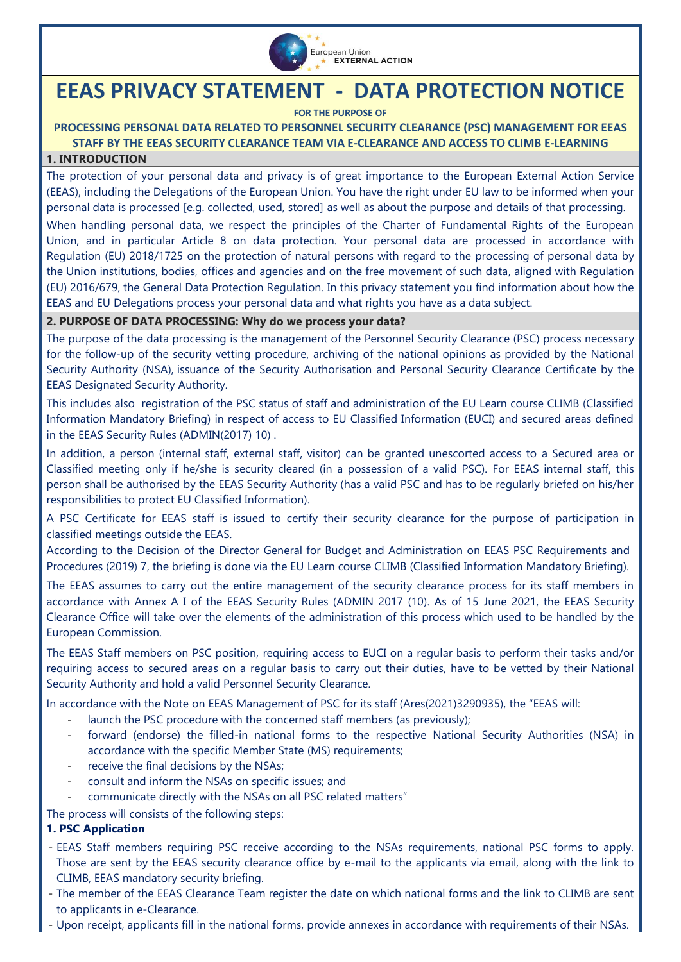

# **EEAS PRIVACY STATEMENT - DATA PROTECTION NOTICE**

**FOR THE PURPOSE OF**

## **PROCESSING PERSONAL DATA RELATED TO PERSONNEL SECURITY CLEARANCE (PSC) MANAGEMENT FOR EEAS STAFF BY THE EEAS SECURITY CLEARANCE TEAM VIA E-CLEARANCE AND ACCESS TO CLIMB E-LEARNING**

## **1. INTRODUCTION**

The protection of your personal data and privacy is of great importance to the European External Action Service (EEAS), including the Delegations of the European Union. You have the right under EU law to be informed when your personal data is processed [e.g. collected, used, stored] as well as about the purpose and details of that processing.

When handling personal data, we respect the principles of the Charter of Fundamental Rights of the European Union, and in particular Article 8 on data protection. Your personal data are processed in accordance with [Regulation \(EU\) 2018/1725 on the protection of natural persons with regard to the processing of personal data by](https://eur-lex.europa.eu/legal-content/EN/TXT/?uri=CELEX%3A32018R1725)  [the Union institutions, bodies, offices and agencies and on the free movement of such data,](https://eur-lex.europa.eu/legal-content/EN/TXT/?uri=CELEX%3A32018R1725) aligned with Regulation (EU) 2016/679, the General Data Protection Regulation. In this privacy statement you find information about how the EEAS and EU Delegations process your personal data and what rights you have as a data subject.

#### **2. PURPOSE OF DATA PROCESSING: Why do we process your data?**

The purpose of the data processing is the management of the Personnel Security Clearance (PSC) process necessary for the follow-up of the security vetting procedure, archiving of the national opinions as provided by the National Security Authority (NSA), issuance of the Security Authorisation and Personal Security Clearance Certificate by the EEAS Designated Security Authority.

This includes also registration of the PSC status of staff and administration of the EU Learn course CLIMB (Classified Information Mandatory Briefing) in respect of access to EU Classified Information (EUCI) and secured areas defined in the EEAS Security Rules (ADMIN(2017) 10) .

In addition, a person (internal staff, external staff, visitor) can be granted unescorted access to a Secured area or Classified meeting only if he/she is security cleared (in a possession of a valid PSC). For EEAS internal staff, this person shall be authorised by the EEAS Security Authority (has a valid PSC and has to be regularly briefed on his/her responsibilities to protect EU Classified Information).

A PSC Certificate for EEAS staff is issued to certify their security clearance for the purpose of participation in classified meetings outside the EEAS.

According to the Decision of the Director General for Budget and Administration on EEAS PSC Requirements and Procedures (2019) 7, the briefing is done via the EU Learn course CLIMB (Classified Information Mandatory Briefing).

The EEAS assumes to carry out the entire management of the security clearance process for its staff members in accordance with Annex A I of the EEAS Security Rules (ADMIN 2017 (10). As of 15 June 2021, the EEAS Security Clearance Office will take over the elements of the administration of this process which used to be handled by the European Commission.

The EEAS Staff members on PSC position, requiring access to EUCI on a regular basis to perform their tasks and/or requiring access to secured areas on a regular basis to carry out their duties, have to be vetted by their National Security Authority and hold a valid Personnel Security Clearance.

In accordance with the Note on EEAS Management of PSC for its staff (Ares(2021)3290935), the "EEAS will:

- launch the PSC procedure with the concerned staff members (as previously);
- forward (endorse) the filled-in national forms to the respective National Security Authorities (NSA) in accordance with the specific Member State (MS) requirements;
- receive the final decisions by the NSAs;
- consult and inform the NSAs on specific issues; and
- communicate directly with the NSAs on all PSC related matters"

The process will consists of the following steps:

# **1. PSC Application**

- EEAS Staff members requiring PSC receive according to the NSAs requirements, national PSC forms to apply. Those are sent by the EEAS security clearance office by e-mail to the applicants via email, along with the link to CLIMB, EEAS mandatory security briefing.
- The member of the EEAS Clearance Team register the date on which national forms and the link to CLIMB are sent to applicants in e-Clearance.
- Upon receipt, applicants fill in the national forms, provide annexes in accordance with requirements of their NSAs.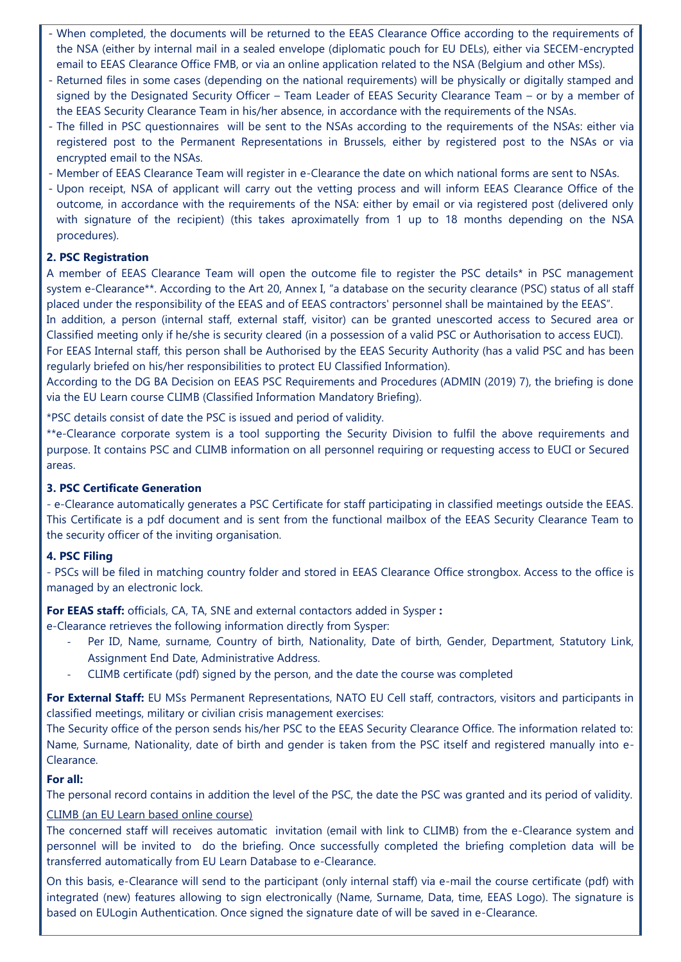- When completed, the documents will be returned to the EEAS Clearance Office according to the requirements of the NSA (either by internal mail in a sealed envelope (diplomatic pouch for EU DELs), either via SECEM-encrypted email to EEAS Clearance Office FMB, or via an online application related to the NSA (Belgium and other MSs).
- Returned files in some cases (depending on the national requirements) will be physically or digitally stamped and signed by the Designated Security Officer – Team Leader of EEAS Security Clearance Team – or by a member of the EEAS Security Clearance Team in his/her absence, in accordance with the requirements of the NSAs.
- The filled in PSC questionnaires will be sent to the NSAs according to the requirements of the NSAs: either via registered post to the Permanent Representations in Brussels, either by registered post to the NSAs or via encrypted email to the NSAs.
- Member of EEAS Clearance Team will register in e-Clearance the date on which national forms are sent to NSAs.
- Upon receipt, NSA of applicant will carry out the vetting process and will inform EEAS Clearance Office of the outcome, in accordance with the requirements of the NSA: either by email or via registered post (delivered only with signature of the recipient) (this takes aproximatelly from 1 up to 18 months depending on the NSA procedures).

#### **2. PSC Registration**

A member of EEAS Clearance Team will open the outcome file to register the PSC details\* in PSC management system e-Clearance\*\*. According to the Art 20, Annex I, "a database on the security clearance (PSC) status of all staff placed under the responsibility of the EEAS and of EEAS contractors' personnel shall be maintained by the EEAS".

In addition, a person (internal staff, external staff, visitor) can be granted unescorted access to Secured area or Classified meeting only if he/she is security cleared (in a possession of a valid PSC or Authorisation to access EUCI).

For EEAS Internal staff, this person shall be Authorised by the EEAS Security Authority (has a valid PSC and has been regularly briefed on his/her responsibilities to protect EU Classified Information).

According to the DG BA Decision on EEAS PSC Requirements and Procedures (ADMIN (2019) 7), the briefing is done via the EU Learn course CLIMB (Classified Information Mandatory Briefing).

\*PSC details consist of date the PSC is issued and period of validity.

\*\*e-Clearance corporate system is a tool supporting the Security Division to fulfil the above requirements and purpose. It contains PSC and CLIMB information on all personnel requiring or requesting access to EUCI or Secured areas.

#### **3. PSC Certificate Generation**

- e-Clearance automatically generates a PSC Certificate for staff participating in classified meetings outside the EEAS. This Certificate is a pdf document and is sent from the functional mailbox of the EEAS Security Clearance Team to the security officer of the inviting organisation.

#### **4. PSC Filing**

- PSCs will be filed in matching country folder and stored in EEAS Clearance Office strongbox. Access to the office is managed by an electronic lock.

**For EEAS staff:** officials, CA, TA, SNE and external contactors added in Sysper **:**

e-Clearance retrieves the following information directly from Sysper:

- Per ID, Name, surname, Country of birth, Nationality, Date of birth, Gender, Department, Statutory Link, Assignment End Date, Administrative Address.
- CLIMB certificate (pdf) signed by the person, and the date the course was completed

**For External Staff:** EU MSs Permanent Representations, NATO EU Cell staff, contractors, visitors and participants in classified meetings, military or civilian crisis management exercises:

The Security office of the person sends his/her PSC to the EEAS Security Clearance Office. The information related to: Name, Surname, Nationality, date of birth and gender is taken from the PSC itself and registered manually into e-Clearance.

#### **For all:**

The personal record contains in addition the level of the PSC, the date the PSC was granted and its period of validity.

#### CLIMB (an EU Learn based online course)

The concerned staff will receives automatic invitation (email with link to CLIMB) from the e-Clearance system and personnel will be invited to do the briefing. Once successfully completed the briefing completion data will be transferred automatically from EU Learn Database to e-Clearance.

On this basis, e-Clearance will send to the participant (only internal staff) via e-mail the course certificate (pdf) with integrated (new) features allowing to sign electronically (Name, Surname, Data, time, EEAS Logo). The signature is based on EULogin Authentication. Once signed the signature date of will be saved in e-Clearance.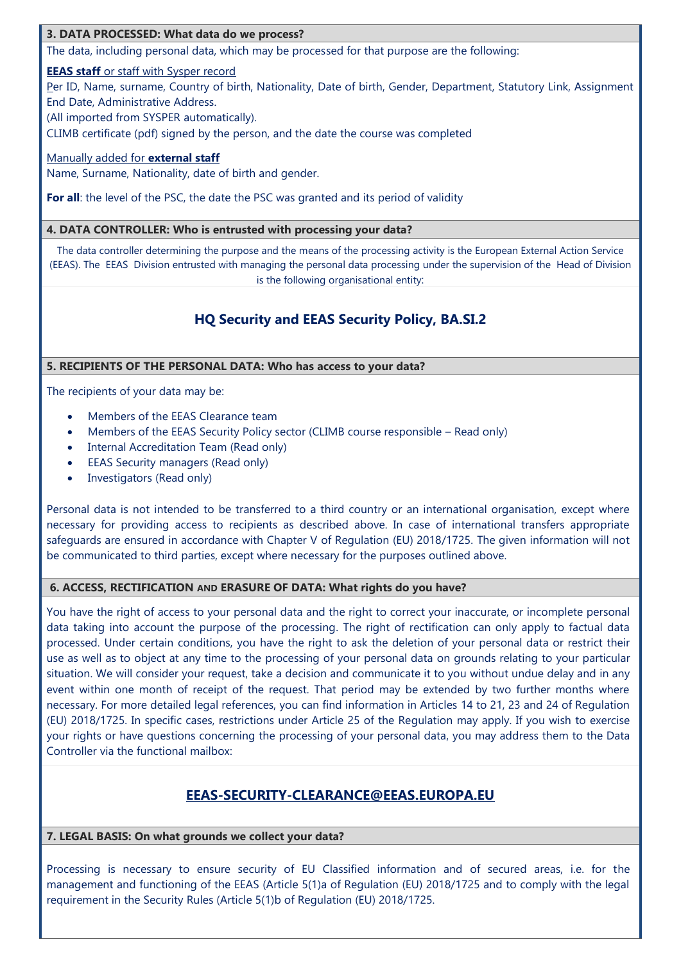#### **3. DATA PROCESSED: What data do we process?**

The data, including personal data, which may be processed for that purpose are the following:

#### **EEAS staff** or staff with Sysper record

Per ID, Name, surname, Country of birth, Nationality, Date of birth, Gender, Department, Statutory Link, Assignment End Date, Administrative Address.

(All imported from SYSPER automatically).

CLIMB certificate (pdf) signed by the person, and the date the course was completed

#### Manually added for **external staff**

Name, Surname, Nationality, date of birth and gender.

**For all**: the level of the PSC, the date the PSC was granted and its period of validity

#### **4. DATA CONTROLLER: Who is entrusted with processing your data?**

The data controller determining the purpose and the means of the processing activity is the European External Action Service (EEAS). The EEAS Division entrusted with managing the personal data processing under the supervision of the Head of Division is the following organisational entity:

# **HQ Security and EEAS Security Policy, BA.SI.2**

#### **5. RECIPIENTS OF THE PERSONAL DATA: Who has access to your data?**

The recipients of your data may be:

- Members of the EEAS Clearance team
- Members of the EEAS Security Policy sector (CLIMB course responsible Read only)
- Internal Accreditation Team (Read only)
- EEAS Security managers (Read only)
- Investigators (Read only)

Personal data is not intended to be transferred to a third country or an international organisation, except where necessary for providing access to recipients as described above. In case of international transfers appropriate safeguards are ensured in accordance with Chapter V of Regulation (EU) 2018/1725. The given information will not be communicated to third parties, except where necessary for the purposes outlined above.

#### **6. ACCESS, RECTIFICATION AND ERASURE OF DATA: What rights do you have?**

You have the right of access to your personal data and the right to correct your inaccurate, or incomplete personal data taking into account the purpose of the processing. The right of rectification can only apply to factual data processed. Under certain conditions, you have the right to ask the deletion of your personal data or restrict their use as well as to object at any time to the processing of your personal data on grounds relating to your particular situation. We will consider your request, take a decision and communicate it to you without undue delay and in any event within one month of receipt of the request. That period may be extended by two further months where necessary. For more detailed legal references, you can find information in Articles 14 to 21, 23 and 24 of Regulation (EU) 2018/1725. In specific cases, restrictions under Article 25 of the Regulation may apply. If you wish to exercise your rights or have questions concerning the processing of your personal data, you may address them to the Data Controller via the functional mailbox:

# **EEAS-SECURITY-CLEARANCE@EEAS.EUROPA.EU**

#### **7. LEGAL BASIS: On what grounds we collect your data?**

Processing is necessary to ensure security of EU Classified information and of secured areas, i.e. for the management and functioning of the EEAS (Article 5(1)a of Regulation (EU) 2018/1725 and to comply with the legal requirement in the Security Rules (Article 5(1)b of Regulation (EU) 2018/1725.